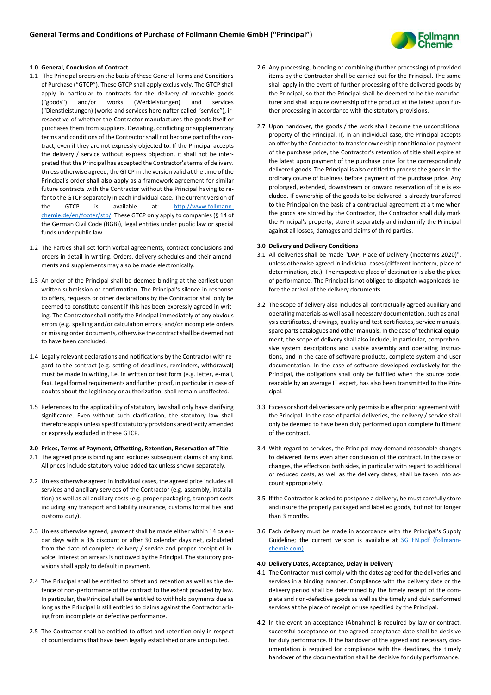

# **1.0 General, Conclusion of Contract**

- 1.1 The Principal orders on the basis of these General Terms and Conditions of Purchase ("GTCP"). These GTCP shall apply exclusively. The GTCP shall apply in particular to contracts for the delivery of movable goods ("goods") and/or works (Werkleistungen) and services ("Dienstleistungen) (works and services hereinafter called "service"), irrespective of whether the Contractor manufactures the goods itself or purchases them from suppliers. Deviating, conflicting or supplementary terms and conditions of the Contractor shall not become part of the contract, even if they are not expressly objected to. If the Principal accepts the delivery / service without express objection, it shall not be interpreted that the Principal has accepted the Contractor's terms of delivery. Unless otherwise agreed, the GTCP in the version valid at the time of the Principal's order shall also apply as a framework agreement for similar future contracts with the Contractor without the Principal having to refer to the GTCP separately in each individual case. The current version of the GTCP is available at: [http://www.follmann](http://www.follmann-chemie.de/en/footer/stp/)[chemie.de/en/footer/stp/.](http://www.follmann-chemie.de/en/footer/stp/) These GTCP only apply to companies (§ 14 of the German Civil Code (BGB)), legal entities under public law or special funds under public law.
- 1.2 The Parties shall set forth verbal agreements, contract conclusions and orders in detail in writing. Orders, delivery schedules and their amendments and supplements may also be made electronically.
- 1.3 An order of the Principal shall be deemed binding at the earliest upon written submission or confirmation. The Principal's silence in response to offers, requests or other declarations by the Contractor shall only be deemed to constitute consent if this has been expressly agreed in writing. The Contractor shall notify the Principal immediately of any obvious errors (e.g. spelling and/or calculation errors) and/or incomplete orders or missing order documents, otherwise the contract shall be deemed not to have been concluded.
- 1.4 Legally relevant declarations and notifications by the Contractor with regard to the contract (e.g. setting of deadlines, reminders, withdrawal) must be made in writing, i.e. in written or text form (e.g. letter, e-mail, fax). Legal formal requirements and further proof, in particular in case of doubts about the legitimacy or authorization, shall remain unaffected.
- 1.5 References to the applicability of statutory law shall only have clarifying significance. Even without such clarification, the statutory law shall therefore apply unless specific statutory provisions are directly amended or expressly excluded in these GTCP.

### **2.0 Prices, Terms of Payment, Offsetting, Retention, Reservation of Title**

- 2.1 The agreed price is binding and excludes subsequent claims of any kind. All prices include statutory value-added tax unless shown separately.
- 2.2 Unless otherwise agreed in individual cases, the agreed price includes all services and ancillary services of the Contractor (e.g. assembly, installation) as well as all ancillary costs (e.g. proper packaging, transport costs including any transport and liability insurance, customs formalities and customs duty).
- 2.3 Unless otherwise agreed, payment shall be made either within 14 calendar days with a 3% discount or after 30 calendar days net, calculated from the date of complete delivery / service and proper receipt of invoice. Interest on arrears is not owed by the Principal. The statutory provisions shall apply to default in payment.
- 2.4 The Principal shall be entitled to offset and retention as well as the defence of non-performance of the contract to the extent provided by law. In particular, the Principal shall be entitled to withhold payments due as long as the Principal is still entitled to claims against the Contractor arising from incomplete or defective performance.
- 2.5 The Contractor shall be entitled to offset and retention only in respect of counterclaims that have been legally established or are undisputed.
- 2.6 Any processing, blending or combining (further processing) of provided items by the Contractor shall be carried out for the Principal. The same shall apply in the event of further processing of the delivered goods by the Principal, so that the Principal shall be deemed to be the manufacturer and shall acquire ownership of the product at the latest upon further processing in accordance with the statutory provisions.
- 2.7 Upon handover, the goods / the work shall become the unconditional property of the Principal. If, in an individual case, the Principal accepts an offer by the Contractor to transfer ownership conditional on payment of the purchase price, the Contractor's retention of title shall expire at the latest upon payment of the purchase price for the correspondingly delivered goods. The Principal is also entitled to process the goods in the ordinary course of business before payment of the purchase price. Any prolonged, extended, downstream or onward reservation of title is excluded. If ownership of the goods to be delivered is already transferred to the Principal on the basis of a contractual agreement at a time when the goods are stored by the Contractor, the Contractor shall duly mark the Principal's property, store it separately and indemnify the Principal against all losses, damages and claims of third parties.

#### **3.0 Delivery and Delivery Conditions**

- 3.1 All deliveries shall be made "DAP, Place of Delivery (Incoterms 2020)", unless otherwise agreed in individual cases (different Incoterm, place of determination, etc.). The respective place of destination is also the place of performance. The Principal is not obliged to dispatch wagonloads before the arrival of the delivery documents.
- 3.2 The scope of delivery also includes all contractually agreed auxiliary and operating materials as well as all necessary documentation, such as analysis certificates, drawings, quality and test certificates, service manuals, spare parts catalogues and other manuals. In the case of technical equipment, the scope of delivery shall also include, in particular, comprehensive system descriptions and usable assembly and operating instructions, and in the case of software products, complete system and user documentation. In the case of software developed exclusively for the Principal, the obligations shall only be fulfilled when the source code, readable by an average IT expert, has also been transmitted to the Principal.
- 3.3 Excess or short deliveries are only permissible after prior agreement with the Principal. In the case of partial deliveries, the delivery / service shall only be deemed to have been duly performed upon complete fulfilment of the contract.
- 3.4 With regard to services, the Principal may demand reasonable changes to delivered items even after conclusion of the contract. In the case of changes, the effects on both sides, in particular with regard to additional or reduced costs, as well as the delivery dates, shall be taken into account appropriately.
- 3.5 If the Contractor is asked to postpone a delivery, he must carefully store and insure the properly packaged and labelled goods, but not for longer than 3 months.
- 3.6 Each delivery must be made in accordance with the Principal's Supply Guideline; the current version is available at SG EN.pdf (follmann[chemie.com\)](https://sg.follmann-chemie.com/en/SG_EN.pdf) .

## **4.0 Delivery Dates, Acceptance, Delay in Delivery**

- 4.1 The Contractor must comply with the dates agreed for the deliveries and services in a binding manner. Compliance with the delivery date or the delivery period shall be determined by the timely receipt of the complete and non-defective goods as well as the timely and duly performed services at the place of receipt or use specified by the Principal.
- 4.2 In the event an acceptance (Abnahme) is required by law or contract, successful acceptance on the agreed acceptance date shall be decisive for duly performance. If the handover of the agreed and necessary documentation is required for compliance with the deadlines, the timely handover of the documentation shall be decisive for duly performance.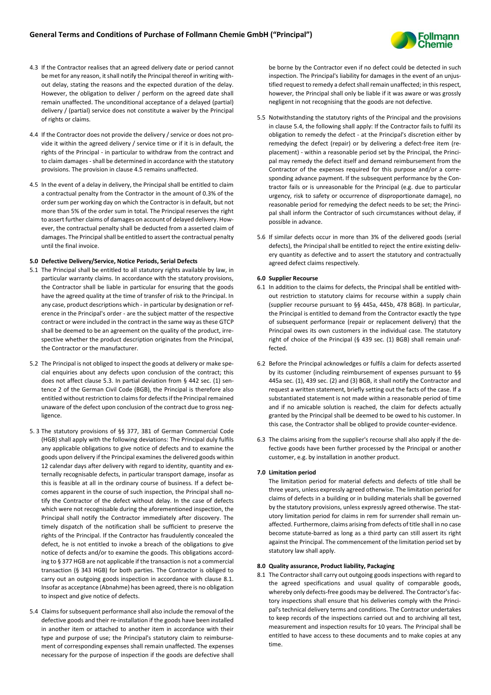

- 4.3 If the Contractor realises that an agreed delivery date or period cannot be met for any reason, it shall notify the Principal thereof in writing without delay, stating the reasons and the expected duration of the delay. However, the obligation to deliver / perform on the agreed date shall remain unaffected. The unconditional acceptance of a delayed (partial) delivery / (partial) service does not constitute a waiver by the Principal of rights or claims.
- 4.4 If the Contractor does not provide the delivery / service or does not provide it within the agreed delivery / service time or if it is in default, the rights of the Principal - in particular to withdraw from the contract and to claim damages - shall be determined in accordance with the statutory provisions. The provision in clause 4.5 remains unaffected.
- 4.5 In the event of a delay in delivery, the Principal shall be entitled to claim a contractual penalty from the Contractor in the amount of 0.3% of the order sum per working day on which the Contractor is in default, but not more than 5% of the order sum in total. The Principal reserves the right to assert further claims of damages on account of delayed delivery. However, the contractual penalty shall be deducted from a asserted claim of damages. The Principal shall be entitled to assert the contractual penalty until the final invoice.

## **5.0 Defective Delivery/Service, Notice Periods, Serial Defects**

- 5.1 The Principal shall be entitled to all statutory rights available by law, in particular warranty claims. In accordance with the statutory provisions, the Contractor shall be liable in particular for ensuring that the goods have the agreed quality at the time of transfer of risk to the Principal. In any case, product descriptions which - in particular by designation or reference in the Principal's order - are the subject matter of the respective contract or were included in the contract in the same way as these GTCP shall be deemed to be an agreement on the quality of the product, irrespective whether the product description originates from the Principal, the Contractor or the manufacturer.
- 5.2 The Principal is not obliged to inspect the goods at delivery or make special enquiries about any defects upon conclusion of the contract; this does not affect clause 5.3. In partial deviation from § 442 sec. (1) sentence 2 of the German Civil Code (BGB), the Principal is therefore also entitled without restriction to claims for defects if the Principal remained unaware of the defect upon conclusion of the contract due to gross negligence.
- 5. 3 The statutory provisions of §§ 377, 381 of German Commercial Code (HGB) shall apply with the following deviations: The Principal duly fulfils any applicable obligations to give notice of defects and to examine the goods upon delivery if the Principal examines the delivered goods within 12 calendar days after delivery with regard to identity, quantity and externally recognisable defects, in particular transport damage, insofar as this is feasible at all in the ordinary course of business. If a defect becomes apparent in the course of such inspection, the Principal shall notify the Contractor of the defect without delay. In the case of defects which were not recognisable during the aforementioned inspection, the Principal shall notify the Contractor immediately after discovery. The timely dispatch of the notification shall be sufficient to preserve the rights of the Principal. If the Contractor has fraudulently concealed the defect, he is not entitled to invoke a breach of the obligations to give notice of defects and/or to examine the goods. This obligations according to § 377 HGB are not applicable if the transaction is not a commercial transaction (§ 343 HGB) for both parties. The Contractor is obliged to carry out an outgoing goods inspection in accordance with clause 8.1. Insofar as acceptance (Abnahme) has been agreed, there is no obligation to inspect and give notice of defects.
- 5.4 Claims for subsequent performance shall also include the removal of the defective goods and their re-installation if the goods have been installed in another item or attached to another item in accordance with their type and purpose of use; the Principal's statutory claim to reimbursement of corresponding expenses shall remain unaffected. The expenses necessary for the purpose of inspection if the goods are defective shall

be borne by the Contractor even if no defect could be detected in such inspection. The Principal's liability for damages in the event of an unjustified request to remedy a defect shall remain unaffected; in this respect, however, the Principal shall only be liable if it was aware or was grossly negligent in not recognising that the goods are not defective.

- 5.5 Notwithstanding the statutory rights of the Principal and the provisions in clause 5.4, the following shall apply: If the Contractor fails to fulfil its obligation to remedy the defect - at the Principal's discretion either by remedying the defect (repair) or by delivering a defect-free item (replacement) - within a reasonable period set by the Principal, the Principal may remedy the defect itself and demand reimbursement from the Contractor of the expenses required for this purpose and/or a corresponding advance payment. If the subsequent performance by the Contractor fails or is unreasonable for the Principal (e.g. due to particular urgency, risk to safety or occurrence of disproportionate damage), no reasonable period for remedying the defect needs to be set; the Principal shall inform the Contractor of such circumstances without delay, if possible in advance.
- 5.6 If similar defects occur in more than 3% of the delivered goods (serial defects), the Principal shall be entitled to reject the entire existing delivery quantity as defective and to assert the statutory and contractually agreed defect claims respectively.

#### **6.0 Supplier Recourse**

- 6.1 In addition to the claims for defects, the Principal shall be entitled without restriction to statutory claims for recourse within a supply chain (supplier recourse pursuant to §§ 445a, 445b, 478 BGB). In particular, the Principal is entitled to demand from the Contractor exactly the type of subsequent performance (repair or replacement delivery) that the Principal owes its own customers in the individual case. The statutory right of choice of the Principal (§ 439 sec. (1) BGB) shall remain unaffected.
- 6.2 Before the Principal acknowledges or fulfils a claim for defects asserted by its customer (including reimbursement of expenses pursuant to §§ 445a sec. (1), 439 sec. (2) and (3) BGB, it shall notify the Contractor and request a written statement, briefly setting out the facts of the case. If a substantiated statement is not made within a reasonable period of time and if no amicable solution is reached, the claim for defects actually granted by the Principal shall be deemed to be owed to his customer. In this case, the Contractor shall be obliged to provide counter-evidence.
- 6.3 The claims arising from the supplier's recourse shall also apply if the defective goods have been further processed by the Principal or another customer, e.g. by installation in another product.

### **7.0 Limitation period**

The limitation period for material defects and defects of title shall be three years, unless expressly agreed otherwise. The limitation period for claims of defects in a building or in building materials shall be governed by the statutory provisions, unless expressly agreed otherwise. The statutory limitation period for claims in rem for surrender shall remain unaffected. Furthermore, claims arising from defects of title shall in no case become statute-barred as long as a third party can still assert its right against the Principal. The commencement of the limitation period set by statutory law shall apply.

## **8.0 Quality assurance, Product liability, Packaging**

8.1 The Contractor shall carry out outgoing goods inspections with regard to the agreed specifications and usual quality of comparable goods, whereby only defects-free goods may be delivered. The Contractor's factory inspections shall ensure that his deliveries comply with the Principal's technical delivery terms and conditions. The Contractor undertakes to keep records of the inspections carried out and to archiving all test, measurement and inspection results for 10 years. The Principal shall be entitled to have access to these documents and to make copies at any time.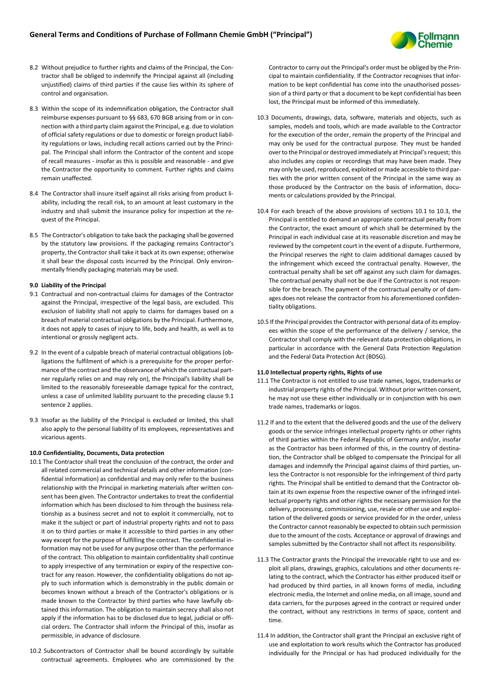

- 8.2 Without prejudice to further rights and claims of the Principal, the Contractor shall be obliged to indemnify the Principal against all (including unjustified) claims of third parties if the cause lies within its sphere of control and organisation.
- 8.3 Within the scope of its indemnification obligation, the Contractor shall reimburse expenses pursuant to §§ 683, 670 BGB arising from or in connection with a third party claim against the Principal, e.g. due to violation of official safety regulations or due to domestic or foreign product liability regulations or laws, including recall actions carried out by the Principal. The Principal shall inform the Contractor of the content and scope of recall measures - insofar as this is possible and reasonable - and give the Contractor the opportunity to comment. Further rights and claims remain unaffected.
- 8.4 The Contractor shall insure itself against all risks arising from product liability, including the recall risk, to an amount at least customary in the industry and shall submit the insurance policy for inspection at the request of the Principal.
- 8.5 The Contractor's obligation to take back the packaging shall be governed by the statutory law provisions. If the packaging remains Contractor's property, the Contractor shall take it back at its own expense; otherwise it shall bear the disposal costs incurred by the Principal. Only environmentally friendly packaging materials may be used.

### **9.0 Liability of the Principal**

- 9.1 Contractual and non-contractual claims for damages of the Contractor against the Principal, irrespective of the legal basis, are excluded. This exclusion of liability shall not apply to claims for damages based on a breach of material contractual obligations by the Principal. Furthermore, it does not apply to cases of injury to life, body and health, as well as to intentional or grossly negligent acts.
- 9.2 In the event of a culpable breach of material contractual obligations (obligations the fulfilment of which is a prerequisite for the proper performance of the contract and the observance of which the contractual partner regularly relies on and may rely on), the Principal's liability shall be limited to the reasonably foreseeable damage typical for the contract, unless a case of unlimited liability pursuant to the preceding clause 9.1 sentence 2 applies.
- 9.3 Insofar as the liability of the Principal is excluded or limited, this shall also apply to the personal liability of its employees, representatives and vicarious agents.

#### **10.0 Confidentiality, Documents, Data protection**

- 10.1 The Contractor shall treat the conclusion of the contract, the order and all related commercial and technical details and other information (confidential information) as confidential and may only refer to the business relationship with the Principal in marketing materials after written consent has been given. The Contractor undertakes to treat the confidential information which has been disclosed to him through the business relationship as a business secret and not to exploit it commercially, not to make it the subject or part of industrial property rights and not to pass it on to third parties or make it accessible to third parties in any other way except for the purpose of fulfilling the contract. The confidential information may not be used for any purpose other than the performance of the contract. This obligation to maintain confidentiality shall continue to apply irrespective of any termination or expiry of the respective contract for any reason. However, the confidentiality obligations do not apply to such information which is demonstrably in the public domain or becomes known without a breach of the Contractor's obligations or is made known to the Contractor by third parties who have lawfully obtained this information. The obligation to maintain secrecy shall also not apply if the information has to be disclosed due to legal, judicial or official orders. The Contractor shall inform the Principal of this, insofar as permissible, in advance of disclosure.
- 10.2 Subcontractors of Contractor shall be bound accordingly by suitable contractual agreements. Employees who are commissioned by the

Contractor to carry out the Principal's order must be obliged by the Principal to maintain confidentiality. If the Contractor recognises that information to be kept confidential has come into the unauthorised possession of a third party or that a document to be kept confidential has been lost, the Principal must be informed of this immediately.

- 10.3 Documents, drawings, data, software, materials and objects, such as samples, models and tools, which are made available to the Contractor for the execution of the order, remain the property of the Principal and may only be used for the contractual purpose. They must be handed over to the Principal or destroyed immediately at Principal's request; this also includes any copies or recordings that may have been made. They may only be used, reproduced, exploited or made accessible to third parties with the prior written consent of the Principal in the same way as those produced by the Contractor on the basis of information, documents or calculations provided by the Principal.
- 10.4 For each breach of the above provisions of sections 10.1 to 10.3, the Principal is entitled to demand an appropriate contractual penalty from the Contractor, the exact amount of which shall be determined by the Principal in each individual case at its reasonable discretion and may be reviewed by the competent court in the event of a dispute. Furthermore, the Principal reserves the right to claim additional damages caused by the infringement which exceed the contractual penalty. However, the contractual penalty shall be set off against any such claim for damages. The contractual penalty shall not be due if the Contractor is not responsible for the breach. The payment of the contractual penalty or of damages does not release the contractor from his aforementioned confidentiality obligations.
- 10.5 If the Principal provides the Contractor with personal data of its employees within the scope of the performance of the delivery / service, the Contractor shall comply with the relevant data protection obligations, in particular in accordance with the General Data Protection Regulation and the Federal Data Protection Act (BDSG).

## **11.0 Intellectual property rights, Rights of use**

- 11.1 The Contractor is not entitled to use trade names, logos, trademarks or industrial property rights of the Principal. Without prior written consent, he may not use these either individually or in conjunction with his own trade names, trademarks or logos.
- 11.2 If and to the extent that the delivered goods and the use of the delivery goods or the service infringes intellectual property rights or other rights of third parties within the Federal Republic of Germany and/or, insofar as the Contractor has been informed of this, in the country of destination, the Contractor shall be obliged to compensate the Principal for all damages and indemnify the Principal against claims of third parties, unless the Contractor is not responsible for the infringement of third party rights. The Principal shall be entitled to demand that the Contractor obtain at its own expense from the respective owner of the infringed intellectual property rights and other rights the necessary permission for the delivery, processing, commissioning, use, resale or other use and exploitation of the delivered goods or service provided for in the order, unless the Contractor cannot reasonably be expected to obtain such permission due to the amount of the costs. Acceptance or approval of drawings and samples submitted by the Contractor shall not affect its responsibility.
- 11.3 The Contractor grants the Principal the irrevocable right to use and exploit all plans, drawings, graphics, calculations and other documents relating to the contract, which the Contractor has either produced itself or had produced by third parties, in all known forms of media, including electronic media, the Internet and online media, on all image, sound and data carriers, for the purposes agreed in the contract or required under the contract, without any restrictions in terms of space, content and time.
- 11.4 In addition, the Contractor shall grant the Principal an exclusive right of use and exploitation to work results which the Contractor has produced individually for the Principal or has had produced individually for the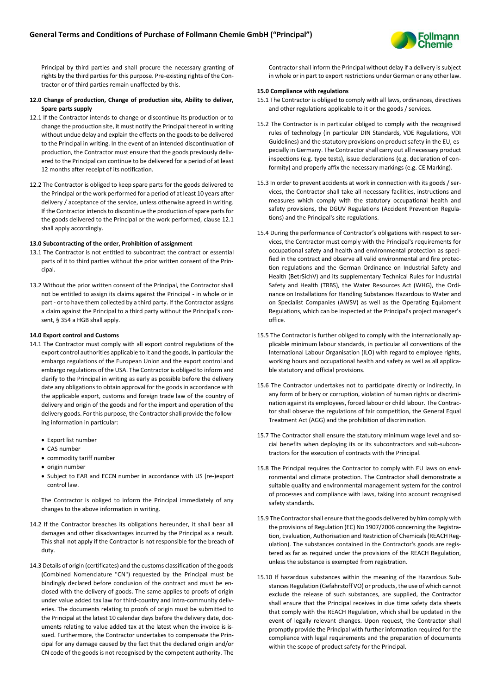

Principal by third parties and shall procure the necessary granting of rights by the third parties for this purpose. Pre-existing rights of the Contractor or of third parties remain unaffected by this.

- **12.0 Change of production, Change of production site, Ability to deliver, Spare parts supply**
- 12.1 If the Contractor intends to change or discontinue its production or to change the production site, it must notify the Principal thereof in writing without undue delay and explain the effects on the goods to be delivered to the Principal in writing. In the event of an intended discontinuation of production, the Contractor must ensure that the goods previously delivered to the Principal can continue to be delivered for a period of at least 12 months after receipt of its notification.
- 12.2 The Contractor is obliged to keep spare parts for the goods delivered to the Principal or the work performed for a period of at least 10 years after delivery / acceptance of the service, unless otherwise agreed in writing. If the Contractor intends to discontinue the production of spare parts for the goods delivered to the Principal or the work performed, clause 12.1 shall apply accordingly.

#### **13.0 Subcontracting of the order, Prohibition of assignment**

- 13.1 The Contractor is not entitled to subcontract the contract or essential parts of it to third parties without the prior written consent of the Principal.
- 13.2 Without the prior written consent of the Principal, the Contractor shall not be entitled to assign its claims against the Principal - in whole or in part - or to have them collected by a third party. If the Contractor assigns a claim against the Principal to a third party without the Principal's consent, § 354 a HGB shall apply.

#### **14.0 Export control and Customs**

- 14.1 The Contractor must comply with all export control regulations of the export control authorities applicable to it and the goods, in particular the embargo regulations of the European Union and the export control and embargo regulations of the USA. The Contractor is obliged to inform and clarify to the Principal in writing as early as possible before the delivery date any obligations to obtain approval for the goods in accordance with the applicable export, customs and foreign trade law of the country of delivery and origin of the goods and for the import and operation of the delivery goods. For this purpose, the Contractor shall provide the following information in particular:
	- Export list number
	- CAS number
	- commodity tariff number
	- origin number
	- Subject to EAR and ECCN number in accordance with US (re-)export control law.

The Contractor is obliged to inform the Principal immediately of any changes to the above information in writing.

- 14.2 If the Contractor breaches its obligations hereunder, it shall bear all damages and other disadvantages incurred by the Principal as a result. This shall not apply if the Contractor is not responsible for the breach of duty.
- 14.3 Details of origin (certificates) and the customs classification of the goods (Combined Nomenclature "CN") requested by the Principal must be bindingly declared before conclusion of the contract and must be enclosed with the delivery of goods. The same applies to proofs of origin under value added tax law for third-country and intra-community deliveries. The documents relating to proofs of origin must be submitted to the Principal at the latest 10 calendar days before the delivery date, documents relating to value added tax at the latest when the invoice is issued. Furthermore, the Contractor undertakes to compensate the Principal for any damage caused by the fact that the declared origin and/or CN code of the goods is not recognised by the competent authority. The

Contractor shall inform the Principal without delay if a delivery is subject in whole or in part to export restrictions under German or any other law.

#### **15.0 Compliance with regulations**

- 15.1 The Contractor is obliged to comply with all laws, ordinances, directives and other regulations applicable to it or the goods / services.
- 15.2 The Contractor is in particular obliged to comply with the recognised rules of technology (in particular DIN Standards, VDE Regulations, VDI Guidelines) and the statutory provisions on product safety in the EU, especially in Germany. The Contractor shall carry out all necessary product inspections (e.g. type tests), issue declarations (e.g. declaration of conformity) and properly affix the necessary markings (e.g. CE Marking).
- 15.3 In order to prevent accidents at work in connection with its goods / services, the Contractor shall take all necessary facilities, instructions and measures which comply with the statutory occupational health and safety provisions, the DGUV Regulations (Accident Prevention Regulations) and the Principal's site regulations.
- 15.4 During the performance of Contractor's obligations with respect to services, the Contractor must comply with the Principal's requirements for occupational safety and health and environmental protection as specified in the contract and observe all valid environmental and fire protection regulations and the German Ordinance on Industrial Safety and Health (BetrSichV) and its supplementary Technical Rules for Industrial Safety and Health (TRBS), the Water Resources Act (WHG), the Ordinance on Installations for Handling Substances Hazardous to Water and on Specialist Companies (AWSV) as well as the Operating Equipment Regulations, which can be inspected at the Principal's project manager's office.
- 15.5 The Contractor is further obliged to comply with the internationally applicable minimum labour standards, in particular all conventions of the International Labour Organisation (ILO) with regard to employee rights, working hours and occupational health and safety as well as all applicable statutory and official provisions.
- 15.6 The Contractor undertakes not to participate directly or indirectly, in any form of bribery or corruption, violation of human rights or discrimination against its employees, forced labour or child labour. The Contractor shall observe the regulations of fair competition, the General Equal Treatment Act (AGG) and the prohibition of discrimination.
- 15.7 The Contractor shall ensure the statutory minimum wage level and social benefits when deploying its or its subcontractors and sub-subcontractors for the execution of contracts with the Principal.
- 15.8 The Principal requires the Contractor to comply with EU laws on environmental and climate protection. The Contractor shall demonstrate a suitable quality and environmental management system for the control of processes and compliance with laws, taking into account recognised safety standards.
- 15.9 The Contractor shall ensure that the goods delivered by him comply with the provisions of Regulation (EC) No 1907/2006 concerning the Registration, Evaluation, Authorisation and Restriction of Chemicals (REACH Regulation). The substances contained in the Contractor's goods are registered as far as required under the provisions of the REACH Regulation, unless the substance is exempted from registration.
- 15.10 If hazardous substances within the meaning of the Hazardous Substances Regulation (Gefahrstoff VO) or products, the use of which cannot exclude the release of such substances, are supplied, the Contractor shall ensure that the Principal receives in due time safety data sheets that comply with the REACH Regulation, which shall be updated in the event of legally relevant changes. Upon request, the Contractor shall promptly provide the Principal with further information required for the compliance with legal requirements and the preparation of documents within the scope of product safety for the Principal.